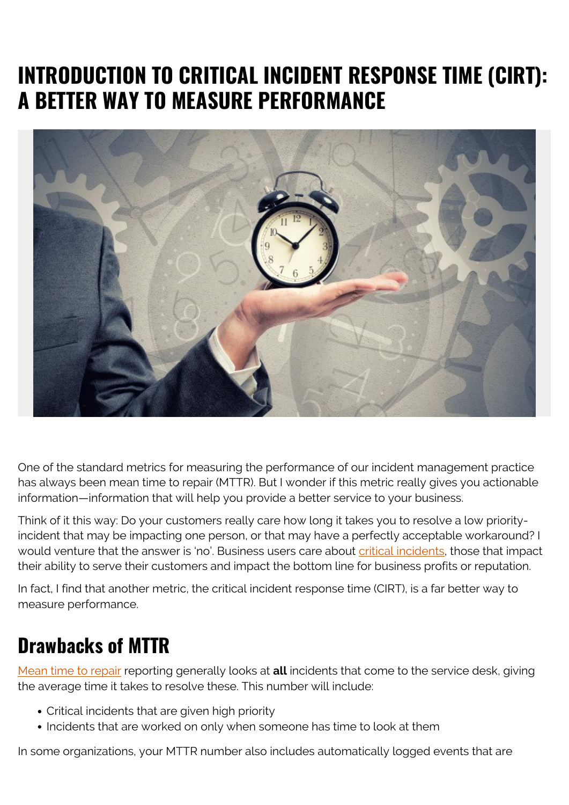# **INTRODUCTION TO CRITICAL INCIDENT RESPONSE TIME (CIRT): A BETTER WAY TO MEASURE PERFORMANCE**



One of the standard metrics for measuring the performance of our incident management practice has always been mean time to repair (MTTR). But I wonder if this metric really gives you actionable information—information that will help you provide a better service to your business.

Think of it this way: Do your customers really care how long it takes you to resolve a low priorityincident that may be impacting one person, or that may have a perfectly acceptable workaround? I would venture that the answer is 'no'. Business users care about [critical incidents](https://www.onpage.com/critical-incident-management/), those that impact their ability to serve their customers and impact the bottom line for business profits or reputation.

In fact, I find that another metric, the critical incident response time (CIRT), is a far better way to measure performance.

### **Drawbacks of MTTR**

[Mean time to repair](https://blogs.bmc.com/blogs/mtbf-vs-mtff-vs-mttr-whats-difference/) reporting generally looks at **all** incidents that come to the service desk, giving the average time it takes to resolve these. This number will include:

- Critical incidents that are given high priority
- Incidents that are worked on only when someone has time to look at them

In some organizations, your MTTR number also includes automatically logged events that are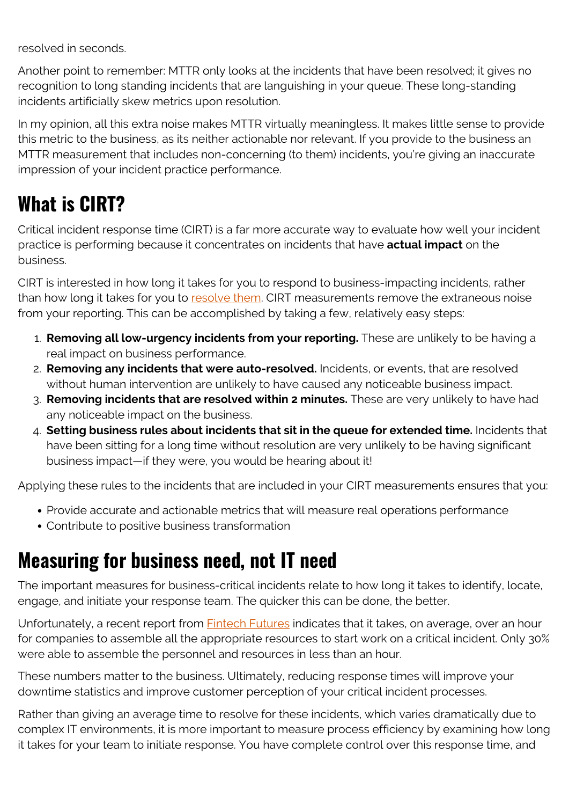resolved in seconds.

Another point to remember: MTTR only looks at the incidents that have been resolved; it gives no recognition to long standing incidents that are languishing in your queue. These long-standing incidents artificially skew metrics upon resolution.

In my opinion, all this extra noise makes MTTR virtually meaningless. It makes little sense to provide this metric to the business, as its neither actionable nor relevant. If you provide to the business an MTTR measurement that includes non-concerning (to them) incidents, you're giving an inaccurate impression of your incident practice performance.

## **What is CIRT?**

Critical incident response time (CIRT) is a far more accurate way to evaluate how well your incident practice is performing because it concentrates on incidents that have **actual impact** on the business.

CIRT is interested in how long it takes for you to respond to business-impacting incidents, rather than how long it takes for you to [resolve them](https://blogs.bmc.com/blogs/mttr-mean-time-to-resolve/). CIRT measurements remove the extraneous noise from your reporting. This can be accomplished by taking a few, relatively easy steps:

- 1. **Removing all low-urgency incidents from your reporting.** These are unlikely to be having a real impact on business performance.
- 2. **Removing any incidents that were auto-resolved.** Incidents, or events, that are resolved without human intervention are unlikely to have caused any noticeable business impact.
- 3. **Removing incidents that are resolved within 2 minutes.** These are very unlikely to have had any noticeable impact on the business.
- 4. **Setting business rules about incidents that sit in the queue for extended time.** Incidents that have been sitting for a long time without resolution are very unlikely to be having significant business impact—if they were, you would be hearing about it!

Applying these rules to the incidents that are included in your CIRT measurements ensures that you:

- Provide accurate and actionable metrics that will measure real operations performance
- Contribute to positive business transformation

### **Measuring for business need, not IT need**

The important measures for business-critical incidents relate to how long it takes to identify, locate, engage, and initiate your response team. The quicker this can be done, the better.

Unfortunately, a recent report from **Fintech Futures indicates that it takes**, on average, over an hour for companies to assemble all the appropriate resources to start work on a critical incident. Only 30% were able to assemble the personnel and resources in less than an hour.

These numbers matter to the business. Ultimately, reducing response times will improve your downtime statistics and improve customer perception of your critical incident processes.

Rather than giving an average time to resolve for these incidents, which varies dramatically due to complex IT environments, it is more important to measure process efficiency by examining how long it takes for your team to initiate response. You have complete control over this response time, and